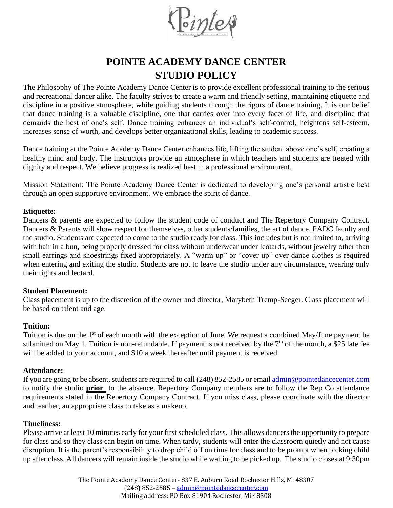

# **POINTE ACADEMY DANCE CENTER STUDIO POLICY**

The Philosophy of The Pointe Academy Dance Center is to provide excellent professional training to the serious and recreational dancer alike. The faculty strives to create a warm and friendly setting, maintaining etiquette and discipline in a positive atmosphere, while guiding students through the rigors of dance training. It is our belief that dance training is a valuable discipline, one that carries over into every facet of life, and discipline that demands the best of one's self. Dance training enhances an individual's self-control, heightens self-esteem, increases sense of worth, and develops better organizational skills, leading to academic success.

Dance training at the Pointe Academy Dance Center enhances life, lifting the student above one's self, creating a healthy mind and body. The instructors provide an atmosphere in which teachers and students are treated with dignity and respect. We believe progress is realized best in a professional environment.

Mission Statement: The Pointe Academy Dance Center is dedicated to developing one's personal artistic best through an open supportive environment. We embrace the spirit of dance.

## **Etiquette:**

Dancers & parents are expected to follow the student code of conduct and The Repertory Company Contract. Dancers & Parents will show respect for themselves, other students/families, the art of dance, PADC faculty and the studio. Students are expected to come to the studio ready for class. This includes but is not limited to, arriving with hair in a bun, being properly dressed for class without underwear under leotards, without jewelry other than small earrings and shoestrings fixed appropriately. A "warm up" or "cover up" over dance clothes is required when entering and exiting the studio. Students are not to leave the studio under any circumstance, wearing only their tights and leotard.

#### **Student Placement:**

Class placement is up to the discretion of the owner and director, Marybeth Tremp-Seeger. Class placement will be based on talent and age.

#### **Tuition:**

Tuition is due on the 1<sup>st</sup> of each month with the exception of June. We request a combined May/June payment be submitted on May 1. Tuition is non-refundable. If payment is not received by the  $7<sup>th</sup>$  of the month, a \$25 late fee will be added to your account, and \$10 a week thereafter until payment is received.

# **Attendance:**

If you are going to be absent, students are required to call (248) 852-2585 or email [admin@pointedancecenter.com](mailto:admin@pointedancecenter.com) to notify the studio **prior** to the absence. Repertory Company members are to follow the Rep Co attendance requirements stated in the Repertory Company Contract. If you miss class, please coordinate with the director and teacher, an appropriate class to take as a makeup.

## **Timeliness:**

Please arrive at least 10 minutes early for your first scheduled class. This allows dancers the opportunity to prepare for class and so they class can begin on time. When tardy, students will enter the classroom quietly and not cause disruption. It is the parent's responsibility to drop child off on time for class and to be prompt when picking child up after class. All dancers will remain inside the studio while waiting to be picked up. The studio closes at 9:30pm